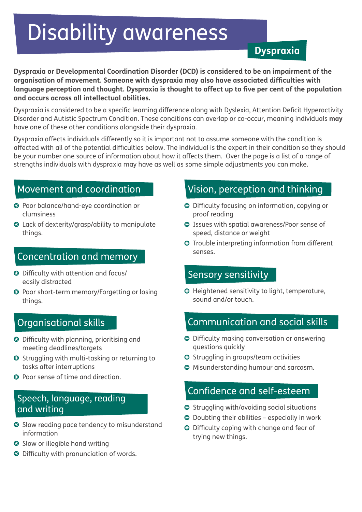# Disability awareness

**Dyspraxia**

**Dyspraxia or Developmental Coordination Disorder (DCD) is considered to be an impairment of the organisation of movement. Someone with dyspraxia may also have associated difficulties with language perception and thought. Dyspraxia is thought to affect up to five per cent of the population and occurs across all intellectual abilities.** 

Dyspraxia is considered to be a specific learning difference along with Dyslexia, Attention Deficit Hyperactivity Disorder and Autistic Spectrum Condition. These conditions can overlap or co-occur, meaning individuals **may** have one of these other conditions alongside their dyspraxia.

Dyspraxia affects individuals differently so it is important not to assume someone with the condition is affected with all of the potential difficulties below. The individual is the expert in their condition so they should be your number one source of information about how it affects them. Over the page is a list of a range of strengths individuals with dyspraxia may have as well as some simple adjustments you can make.

- Poor balance/hand-eye coordination or clumsiness
- Lack of dexterity/grasp/ability to manipulate things.

### Concentration and memory

- Difficulty with attention and focus/ easily distracted
- Poor short-term memory/Forgetting or losing things.

### Organisational skills

- Difficulty with planning, prioritising and meeting deadlines/targets
- Struggling with multi-tasking or returning to tasks after interruptions
- Poor sense of time and direction.

#### Speech, language, reading and writing

- Slow reading pace tendency to misunderstand information
- Slow or illegible hand writing
- Difficulty with pronunciation of words.

# Movement and coordination **Vision, perception and thinking**

- Difficulty focusing on information, copying or proof reading
- Issues with spatial awareness/Poor sense of speed, distance or weight
- Trouble interpreting information from different senses.

#### Sensory sensitivity

Heightened sensitivity to light, temperature, sound and/or touch.

#### Communication and social skills

- Difficulty making conversation or answering questions quickly
- Struggling in groups/team activities
- Misunderstanding humour and sarcasm.

### Confidence and self-esteem

- O Struggling with/avoiding social situations
- Doubting their abilities especially in work
- Difficulty coping with change and fear of trying new things.